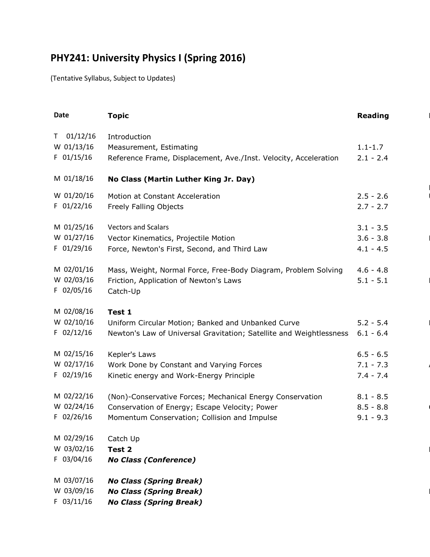## **PHY241: University Physics I (Spring 2016)**

(Tentative Syllabus, Subject to Updates)

| <b>Date</b>    | <b>Topic</b>                                                        | <b>Reading</b> |
|----------------|---------------------------------------------------------------------|----------------|
| $T = 01/12/16$ | Introduction                                                        |                |
| W 01/13/16     | Measurement, Estimating                                             | $1.1 - 1.7$    |
| $F$ 01/15/16   | Reference Frame, Displacement, Ave./Inst. Velocity, Acceleration    | $2.1 - 2.4$    |
| M 01/18/16     | No Class (Martin Luther King Jr. Day)                               |                |
| W 01/20/16     | Motion at Constant Acceleration                                     | $2.5 - 2.6$    |
| $F$ 01/22/16   | Freely Falling Objects                                              | $2.7 - 2.7$    |
| M 01/25/16     | <b>Vectors and Scalars</b>                                          | $3.1 - 3.5$    |
| W 01/27/16     | Vector Kinematics, Projectile Motion                                | $3.6 - 3.8$    |
| $F$ 01/29/16   | Force, Newton's First, Second, and Third Law                        | $4.1 - 4.5$    |
| M 02/01/16     | Mass, Weight, Normal Force, Free-Body Diagram, Problem Solving      | $4.6 - 4.8$    |
| W 02/03/16     | Friction, Application of Newton's Laws                              | $5.1 - 5.1$    |
| $F$ 02/05/16   | Catch-Up                                                            |                |
| M 02/08/16     | Test 1                                                              |                |
| W 02/10/16     | Uniform Circular Motion; Banked and Unbanked Curve                  | $5.2 - 5.4$    |
| $F$ 02/12/16   | Newton's Law of Universal Gravitation; Satellite and Weightlessness | $6.1 - 6.4$    |
| M 02/15/16     | Kepler's Laws                                                       | $6.5 - 6.5$    |
| W 02/17/16     | Work Done by Constant and Varying Forces                            | $7.1 - 7.3$    |
| $F$ 02/19/16   | Kinetic energy and Work-Energy Principle                            | $7.4 - 7.4$    |
| M 02/22/16     | (Non)-Conservative Forces; Mechanical Energy Conservation           | $8.1 - 8.5$    |
| W 02/24/16     | Conservation of Energy; Escape Velocity; Power                      | $8.5 - 8.8$    |
| $F$ 02/26/16   | Momentum Conservation; Collision and Impulse                        | $9.1 - 9.3$    |
| M 02/29/16     | Catch Up                                                            |                |
| W 03/02/16     | Test 2                                                              |                |
| $F$ 03/04/16   | <b>No Class (Conference)</b>                                        |                |
| M 03/07/16     | <b>No Class (Spring Break)</b>                                      |                |
| W 03/09/16     | <b>No Class (Spring Break)</b>                                      |                |
| $F$ 03/11/16   | <b>No Class (Spring Break)</b>                                      |                |